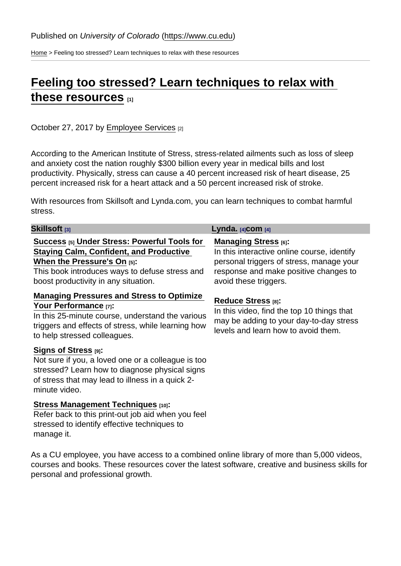[Home](https://www.cu.edu/) > Feeling too stressed? Learn techniques to relax with these resources

## [Feeling too stressed? Learn techniques to relax with](https://www.cu.edu/blog/work-life/feeling-too-stressed-learn-techniques-relax-these-resources)  [these resources](https://www.cu.edu/blog/work-life/feeling-too-stressed-learn-techniques-relax-these-resources) [1]

October 27, 2017 by [Employee Services](https://www.cu.edu/blog/work-life/author/9230) [2]

According to the American Institute of Stress, stress-related ailments such as loss of sleep and anxiety cost the nation roughly \$300 billion every year in medical bills and lost productivity. Physically, stress can cause a 40 percent increased risk of heart disease, 25 percent increased risk for a heart attack and a 50 percent increased risk of stroke.

With resources from Skillsoft and Lynda.com, you can learn techniques to combat harmful stress.

| Skillsoft <sub>[3]</sub>                                                                                                                                                                                               | Lynda. $[4]$ com $[4]$                                                                                                                                                                  |
|------------------------------------------------------------------------------------------------------------------------------------------------------------------------------------------------------------------------|-----------------------------------------------------------------------------------------------------------------------------------------------------------------------------------------|
| Success [5] Under Stress: Powerful Tools for<br>Staying Calm, Confident, and Productive<br>When the Pressure's On $_{[5]}$ :<br>This book introduces ways to defuse stress and<br>boost productivity in any situation. | Managing Stress $_{[6]}$ :<br>In this interactive online course, identify<br>personal triggers of stress, manage your<br>response and make positive changes to<br>avoid these triggers. |
| Managing Pressures and Stress to Optimize<br>Your Performance [7]:<br>In this 25-minute course, understand the various<br>triggers and effects of stress, while learning how<br>to help stressed colleagues.           | Reduce Stress [8]:<br>In this video, find the top 10 things that<br>may be adding to your day-to-day stress<br>levels and learn how to avoid them.                                      |
| Signs of Stress $[9]$ :<br>Not sure if you, a loved one or a colleague is too<br>stressed? Learn how to diagnose physical signs<br>of stress that may lead to illness in a quick 2-<br>minute video.                   |                                                                                                                                                                                         |
| Stress Management Techniques [10]:<br>Refer back to this print-out job aid when you feel<br>stressed to identify effective techniques to<br>manage it.                                                                 |                                                                                                                                                                                         |

As a CU employee, you have access to a combined online library of more than 5,000 videos, courses and books. These resources cover the latest software, creative and business skills for personal and professional growth.